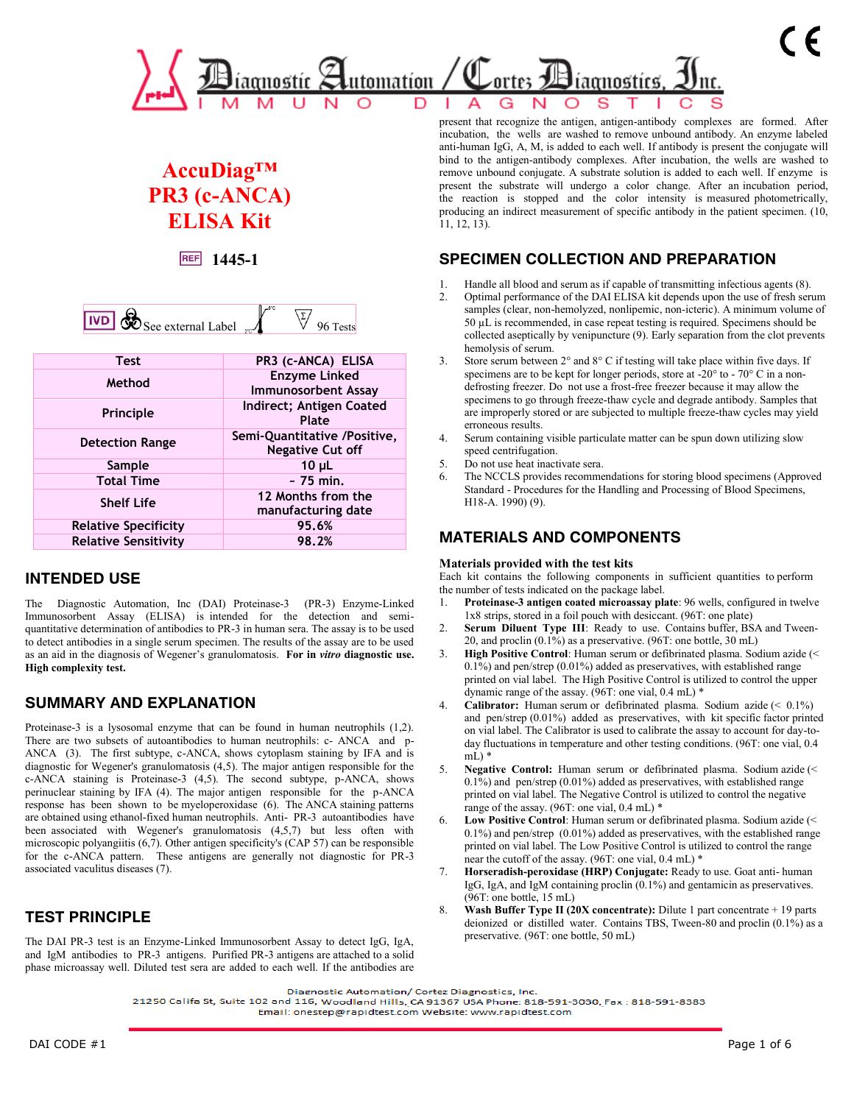

# **AccuDiag™ PR3 (c-ANCA) ELISA Kit**

**1445-1**

| 总<br><b>I</b> IVD<br>$\mathcal O$ See external Label |  | ests <sup>'</sup> |
|------------------------------------------------------|--|-------------------|
|------------------------------------------------------|--|-------------------|

| <b>Test</b>                 | PR3 (c-ANCA) ELISA                                      |
|-----------------------------|---------------------------------------------------------|
| Method                      | <b>Enzyme Linked</b><br><b>Immunosorbent Assay</b>      |
| Principle                   | Indirect; Antigen Coated<br>Plate                       |
| <b>Detection Range</b>      | Semi-Quantitative /Positive,<br><b>Negative Cut off</b> |
| Sample                      | $10 \mu L$                                              |
| <b>Total Time</b>           | $\sim$ 75 min.                                          |
| <b>Shelf Life</b>           | 12 Months from the<br>manufacturing date                |
| <b>Relative Specificity</b> | 95.6%                                                   |
| <b>Relative Sensitivity</b> | 98.2%                                                   |
|                             |                                                         |

## **INTENDED USE**

The Diagnostic Automation, Inc (DAI) Proteinase-3 (PR-3) Enzyme-Linked Immunosorbent Assay (ELISA) is intended for the detection and semiquantitative determination of antibodies to PR-3 in human sera. The assay is to be used to detect antibodies in a single serum specimen. The results of the assay are to be used as an aid in the diagnosis of Wegener's granulomatosis. **For in** *vitro* **diagnostic use. High complexity test.**

## **SUMMARY AND EXPLANATION**

Proteinase-3 is a lysosomal enzyme that can be found in human neutrophils (1,2). There are two subsets of autoantibodies to human neutrophils: c- ANCA and p-ANCA (3). The first subtype, c-ANCA, shows cytoplasm staining by IFA and is diagnostic for Wegener's granulomatosis (4,5). The major antigen responsible for the c-ANCA staining is Proteinase-3 (4,5). The second subtype, p-ANCA, shows perinuclear staining by IFA (4). The major antigen responsible for the p-ANCA response has been shown to be myeloperoxidase (6). The ANCA staining patterns are obtained using ethanol-fixed human neutrophils. Anti- PR-3 autoantibodies have been associated with Wegener's granulomatosis (4,5,7) but less often with microscopic polyangiitis  $(6, 7)$ . Other antigen specificity's (CAP 57) can be responsible for the c-ANCA pattern. These antigens are generally not diagnostic for PR-3 associated vaculitus diseases (7).

## **TEST PRINCIPLE**

The DAI PR-3 test is an Enzyme-Linked Immunosorbent Assay to detect IgG, IgA, and IgM antibodies to PR-3 antigens. Purified PR-3 antigens are attached to a solid phase microassay well. Diluted test sera are added to each well. If the antibodies are present that recognize the antigen, antigen-antibody complexes are formed. After incubation, the wells are washed to remove unbound antibody. An enzyme labeled anti-human IgG, A, M, is added to each well. If antibody is present the conjugate will bind to the antigen-antibody complexes. After incubation, the wells are washed to remove unbound conjugate. A substrate solution is added to each well. If enzyme is present the substrate will undergo a color change. After an incubation period, the reaction is stopped and the color intensity is measured photometrically, producing an indirect measurement of specific antibody in the patient specimen. (10, 11, 12, 13).

## **SPECIMEN COLLECTION AND PREPARATION**

- 1. Handle all blood and serum as if capable of transmitting infectious agents (8).
- 2. Optimal performance of the DAI ELISA kit depends upon the use of fresh serum samples (clear, non-hemolyzed, nonlipemic, non-icteric). A minimum volume of 50 µL is recommended, in case repeat testing is required. Specimens should be collected aseptically by venipuncture (9). Early separation from the clot prevents hemolysis of serum.
- 3. Store serum between 2° and 8° C if testing will take place within five days. If specimens are to be kept for longer periods, store at -20° to - 70° C in a nondefrosting freezer. Do not use a frost-free freezer because it may allow the specimens to go through freeze-thaw cycle and degrade antibody. Samples that are improperly stored or are subjected to multiple freeze-thaw cycles may yield erroneous results.
- 4. Serum containing visible particulate matter can be spun down utilizing slow speed centrifugation.
- 5. Do not use heat inactivate sera.
- 6. The NCCLS provides recommendations for storing blood specimens (Approved Standard - Procedures for the Handling and Processing of Blood Specimens, H18-A. 1990) (9).

## **MATERIALS AND COMPONENTS**

#### **Materials provided with the test kits**

Each kit contains the following components in sufficient quantities to perform the number of tests indicated on the package label.

- 1. **Proteinase-3 antigen coated microassay plate**: 96 wells, configured in twelve 1x8 strips, stored in a foil pouch with desiccant. (96T: one plate)
- 2. **Serum Diluent Type III**: Ready to use. Contains buffer, BSA and Tween-20, and proclin (0.1%) as a preservative. (96T: one bottle, 30 mL)
- 3. **High Positive Control**: Human serum or defibrinated plasma. Sodium azide (<  $0.1\%$ ) and pen/strep (0.01%) added as preservatives, with established range printed on vial label. The High Positive Control is utilized to control the upper dynamic range of the assay. (96T: one vial, 0.4 mL) \*
- 4. **Calibrator:** Human serum or defibrinated plasma. Sodium azide (< 0.1%) and pen/strep (0.01%) added as preservatives, with kit specific factor printed on vial label. The Calibrator is used to calibrate the assay to account for day-today fluctuations in temperature and other testing conditions. (96T: one vial, 0.4  $mL$ <sup>\*</sup>
- 5. **Negative Control:** Human serum or defibrinated plasma. Sodium azide (< 0.1%) and pen/strep (0.01%) added as preservatives, with established range printed on vial label. The Negative Control is utilized to control the negative range of the assay. (96T: one vial, 0.4 mL) \*
- Low Positive Control: Human serum or defibrinated plasma. Sodium azide (< 0.1%) and pen/strep (0.01%) added as preservatives, with the established range printed on vial label. The Low Positive Control is utilized to control the range near the cutoff of the assay. (96T: one vial, 0.4 mL) \*
- 7. **Horseradish-peroxidase (HRP) Conjugate:** Ready to use. Goat anti- human IgG, IgA, and IgM containing proclin (0.1%) and gentamicin as preservatives. (96T: one bottle, 15 mL)
- 8. **Wash Buffer Type II (20X concentrate):** Dilute 1 part concentrate + 19 parts deionized or distilled water. Contains TBS, Tween-80 and proclin (0.1%) as a preservative. (96T: one bottle, 50 mL)

Diagnostic Automation/ Cortez Diagnostics, Inc.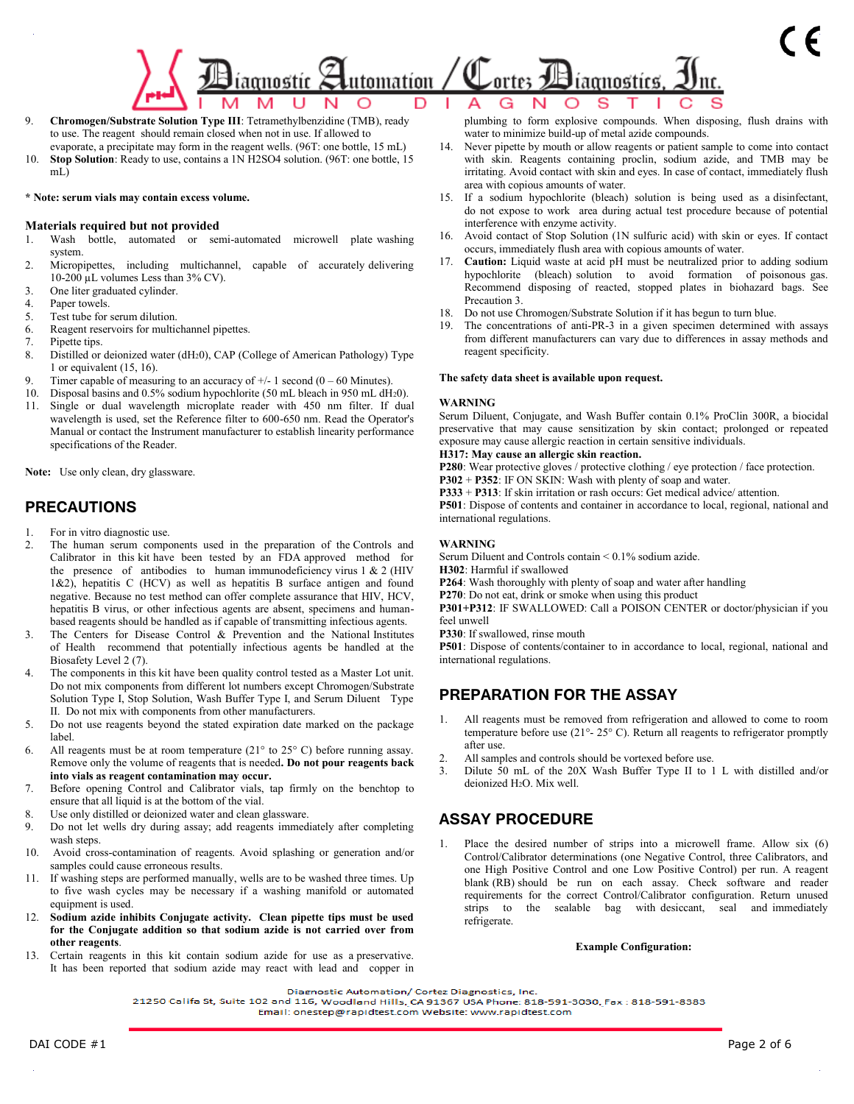## Cortes Biagnostics, <u>utomation / </u> iagnostic )

- 9. **Chromogen/Substrate Solution Type III**: Tetramethylbenzidine (TMB), ready to use. The reagent should remain closed when not in use. If allowed to evaporate, a precipitate may form in the reagent wells. (96T: one bottle, 15 mL)
- 10. **Stop Solution**: Ready to use, contains a 1N H2SO4 solution. (96T: one bottle, 15 mL)

#### **\* Note: serum vials may contain excess volume.**

#### **Materials required but not provided**

- 1. Wash bottle, automated or semi-automated microwell plate washing system.
- 2. Micropipettes, including multichannel, capable of accurately delivering 10-200 µL volumes Less than 3% CV).
- 3. One liter graduated cylinder.
- 4. Paper towels.
- 5. Test tube for serum dilution.
- 6. Reagent reservoirs for multichannel pipettes.
- 7. Pipette tips.
- 8. Distilled or deionized water (dH20), CAP (College of American Pathology) Type 1 or equivalent (15, 16).
- 9. Timer capable of measuring to an accuracy of  $+/- 1$  second (0 60 Minutes).
- 10. Disposal basins and 0.5% sodium hypochlorite (50 mL bleach in 950 mL dH20).
- 11. Single or dual wavelength microplate reader with 450 nm filter. If dual wavelength is used, set the Reference filter to 600-650 nm. Read the Operator's Manual or contact the Instrument manufacturer to establish linearity performance specifications of the Reader.

**Note:** Use only clean, dry glassware.

### **PRECAUTIONS**

- 1. For in vitro diagnostic use.
- 2. The human serum components used in the preparation of the Controls and Calibrator in this kit have been tested by an FDA approved method for the presence of antibodies to human immunodeficiency virus  $1 \& 2$  (HIV 1&2), hepatitis C (HCV) as well as hepatitis B surface antigen and found negative. Because no test method can offer complete assurance that HIV, HCV, hepatitis B virus, or other infectious agents are absent, specimens and humanbased reagents should be handled as if capable of transmitting infectious agents.
- 3. The Centers for Disease Control & Prevention and the National Institutes of Health recommend that potentially infectious agents be handled at the Biosafety Level 2 (7).
- The components in this kit have been quality control tested as a Master Lot unit. Do not mix components from different lot numbers except Chromogen/Substrate Solution Type I, Stop Solution, Wash Buffer Type I, and Serum Diluent Type II. Do not mix with components from other manufacturers.
- 5. Do not use reagents beyond the stated expiration date marked on the package label.
- 6. All reagents must be at room temperature  $(21^{\circ}$  to  $25^{\circ}$  C) before running assay. Remove only the volume of reagents that is needed**. Do not pour reagents back into vials as reagent contamination may occur.**
- 7. Before opening Control and Calibrator vials, tap firmly on the benchtop to ensure that all liquid is at the bottom of the vial.
- 8. Use only distilled or deionized water and clean glassware.
- 9. Do not let wells dry during assay; add reagents immediately after completing wash steps.
- 10. Avoid cross-contamination of reagents. Avoid splashing or generation and/or samples could cause erroneous results.
- 11. If washing steps are performed manually, wells are to be washed three times. Up to five wash cycles may be necessary if a washing manifold or automated equipment is used.
- 12. **Sodium azide inhibits Conjugate activity. Clean pipette tips must be used for the Conjugate addition so that sodium azide is not carried over from other reagents**.
- 13. Certain reagents in this kit contain sodium azide for use as a preservative. It has been reported that sodium azide may react with lead and copper in

plumbing to form explosive compounds. When disposing, flush drains with water to minimize build-up of metal azide compounds.

- 14. Never pipette by mouth or allow reagents or patient sample to come into contact with skin. Reagents containing proclin, sodium azide, and TMB may be irritating. Avoid contact with skin and eyes. In case of contact, immediately flush area with copious amounts of water.
- 15. If a sodium hypochlorite (bleach) solution is being used as a disinfectant, do not expose to work area during actual test procedure because of potential interference with enzyme activity.
- 16. Avoid contact of Stop Solution (1N sulfuric acid) with skin or eyes. If contact occurs, immediately flush area with copious amounts of water.
- 17. **Caution:** Liquid waste at acid pH must be neutralized prior to adding sodium hypochlorite (bleach) solution to avoid formation of poisonous gas. Recommend disposing of reacted, stopped plates in biohazard bags. See Precaution 3.
- 18. Do not use Chromogen/Substrate Solution if it has begun to turn blue.
- 19. The concentrations of anti-PR-3 in a given specimen determined with assays from different manufacturers can vary due to differences in assay methods and reagent specificity.

#### **The safety data sheet is available upon request.**

#### **WARNING**

Serum Diluent, Conjugate, and Wash Buffer contain 0.1% ProClin 300R, a biocidal preservative that may cause sensitization by skin contact; prolonged or repeated exposure may cause allergic reaction in certain sensitive individuals.

#### **H317: May cause an allergic skin reaction.**

**P280**: Wear protective gloves / protective clothing / eye protection / face protection.

**P302** + **P352**: IF ON SKIN: Wash with plenty of soap and water.

**P333** + **P313**: If skin irritation or rash occurs: Get medical advice/ attention.

**P501**: Dispose of contents and container in accordance to local, regional, national and international regulations.

#### **WARNING**

Serum Diluent and Controls contain < 0.1% sodium azide.

- **H302**: Harmful if swallowed
- **P264**: Wash thoroughly with plenty of soap and water after handling
- **P270**: Do not eat, drink or smoke when using this product

**P301+P312**: IF SWALLOWED: Call a POISON CENTER or doctor/physician if you feel unwell

**P330**: If swallowed, rinse mouth

**P501**: Dispose of contents/container to in accordance to local, regional, national and international regulations.

### **PREPARATION FOR THE ASSAY**

- 1. All reagents must be removed from refrigeration and allowed to come to room temperature before use (21°- 25° C). Return all reagents to refrigerator promptly after use.
- 2. All samples and controls should be vortexed before use.
- 3. Dilute 50 mL of the 20X Wash Buffer Type II to 1 L with distilled and/or deionized H2O. Mix well.

### **ASSAY PROCEDURE**

1. Place the desired number of strips into a microwell frame. Allow six (6) Control/Calibrator determinations (one Negative Control, three Calibrators, and one High Positive Control and one Low Positive Control) per run. A reagent blank (RB) should be run on each assay. Check software and reader requirements for the correct Control/Calibrator configuration. Return unused strips to the sealable bag with desiccant, seal and immediately refrigerate.

#### **Example Configuration:**

Diagnostic Automation/ Cortez Diagnostics, Inc.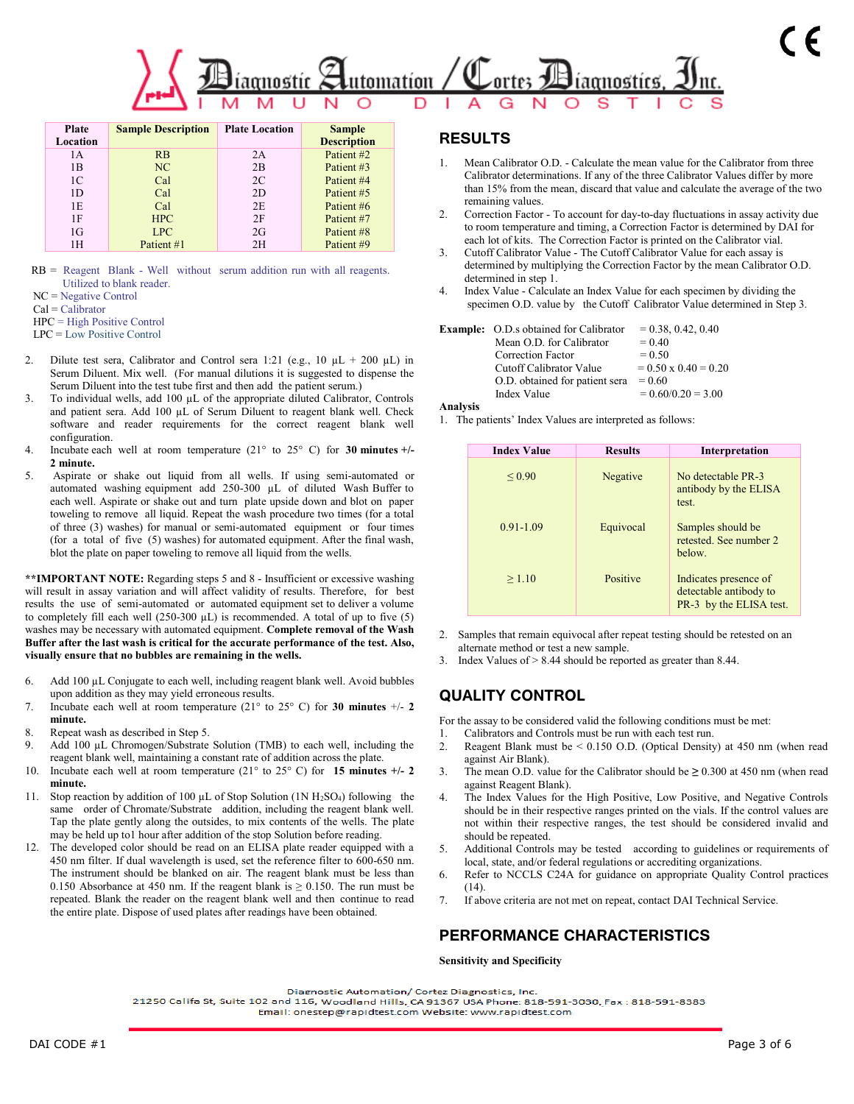

| <b>Plate</b><br>Location | <b>Sample Description</b> | <b>Plate Location</b> | <b>Sample</b><br><b>Description</b> |
|--------------------------|---------------------------|-----------------------|-------------------------------------|
| 1A                       | <b>RB</b>                 | 2A                    | Patient #2                          |
| 1B                       | NC                        | 2B                    | Patient #3                          |
| 1C                       | Cal                       | 2C                    | Patient #4                          |
| 1D                       | Cal                       | 2D                    | Patient #5                          |
| 1E                       | Cal                       | 2E                    | Patient #6                          |
| 1F                       | <b>HPC</b>                | 2F                    | Patient #7                          |
| 1G                       | LPC.                      | 2G                    | Patient #8                          |
| 1Н                       | Patient #1                | 2H                    | Patient #9                          |

RB = Reagent Blank - Well without serum addition run with all reagents. Utilized to blank reader.

NC = Negative Control

Cal = Calibrator

HPC = High Positive Control

LPC = Low Positive Control

- 2. Dilute test sera, Calibrator and Control sera 1:21 (e.g.,  $10 \mu L + 200 \mu L$ ) in Serum Diluent. Mix well. (For manual dilutions it is suggested to dispense the Serum Diluent into the test tube first and then add the patient serum.)
- 3. To individual wells, add 100 µL of the appropriate diluted Calibrator, Controls and patient sera. Add 100 µL of Serum Diluent to reagent blank well. Check software and reader requirements for the correct reagent blank well configuration.
- 4. Incubate each well at room temperature (21° to 25° C) for **30 minutes +/- 2 minute.**
- 5. Aspirate or shake out liquid from all wells. If using semi-automated or automated washing equipment add 250-300 µL of diluted Wash Buffer to each well. Aspirate or shake out and turn plate upside down and blot on paper toweling to remove all liquid. Repeat the wash procedure two times (for a total of three (3) washes) for manual or semi-automated equipment or four times (for a total of five (5) washes) for automated equipment. After the final wash, blot the plate on paper toweling to remove all liquid from the wells.

**\*\*IMPORTANT NOTE:** Regarding steps 5 and 8 - Insufficient or excessive washing will result in assay variation and will affect validity of results. Therefore, for best results the use of semi-automated or automated equipment set to deliver a volume to completely fill each well  $(250-300 \mu L)$  is recommended. A total of up to five (5) washes may be necessary with automated equipment. **Complete removal of the Wash Buffer after the last wash is critical for the accurate performance of the test. Also, visually ensure that no bubbles are remaining in the wells.**

- 6. Add 100 µL Conjugate to each well, including reagent blank well. Avoid bubbles upon addition as they may yield erroneous results.
- 7. Incubate each well at room temperature (21° to 25° C) for **30 minutes** +/- **2 minute.**
- 8. Repeat wash as described in Step 5.
- 9. Add 100 µL Chromogen/Substrate Solution (TMB) to each well, including the reagent blank well, maintaining a constant rate of addition across the plate.
- 10. Incubate each well at room temperature (21° to 25° C) for **15 minutes +/- 2 minute.**
- 11. Stop reaction by addition of 100  $\mu$ L of Stop Solution (1N H<sub>2</sub>SO<sub>4</sub>) following the same order of Chromate/Substrate addition, including the reagent blank well. Tap the plate gently along the outsides, to mix contents of the wells. The plate may be held up to1 hour after addition of the stop Solution before reading.
- 12. The developed color should be read on an ELISA plate reader equipped with a 450 nm filter. If dual wavelength is used, set the reference filter to 600-650 nm. The instrument should be blanked on air. The reagent blank must be less than 0.150 Absorbance at 450 nm. If the reagent blank is  $\geq$  0.150. The run must be repeated. Blank the reader on the reagent blank well and then continue to read the entire plate. Dispose of used plates after readings have been obtained.

### **RESULTS**

- 1. Mean Calibrator O.D. Calculate the mean value for the Calibrator from three Calibrator determinations. If any of the three Calibrator Values differ by more than 15% from the mean, discard that value and calculate the average of the two remaining values.
- 2. Correction Factor To account for day-to-day fluctuations in assay activity due to room temperature and timing, a Correction Factor is determined by DAI for each lot of kits. The Correction Factor is printed on the Calibrator vial.
- 3. Cutoff Calibrator Value The Cutoff Calibrator Value for each assay is determined by multiplying the Correction Factor by the mean Calibrator O.D. determined in step 1.
- 4. Index Value Calculate an Index Value for each specimen by dividing the specimen O.D. value by the Cutoff Calibrator Value determined in Step 3.

| <b>Example:</b> O.D.s obtained for Calibrator | $= 0.38, 0.42, 0.40$        |
|-----------------------------------------------|-----------------------------|
| Mean O.D. for Calibrator                      | $= 0.40$                    |
| Correction Factor                             | $= 0.50$                    |
| Cutoff Calibrator Value                       | $= 0.50 \times 0.40 = 0.20$ |
| O.D. obtained for patient sera                | $= 0.60$                    |
| Index Value                                   | $= 0.60/0.20 = 3.00$        |

#### **Analysis**

1.The patients' Index Values are interpreted as follows:

| <b>Index Value</b> | <b>Results</b> | Interpretation                                                             |
|--------------------|----------------|----------------------------------------------------------------------------|
| ${}_{0.90}$        | Negative       | No detectable PR-3<br>antibody by the ELISA<br>test.                       |
| $0.91 - 1.09$      | Equivocal      | Samples should be<br>retested. See number 2<br>below.                      |
| >1.10              | Positive       | Indicates presence of<br>detectable antibody to<br>PR-3 by the ELISA test. |

- 2. Samples that remain equivocal after repeat testing should be retested on an alternate method or test a new sample.
- 3. Index Values of > 8.44 should be reported as greater than 8.44.

## **QUALITY CONTROL**

For the assay to be considered valid the following conditions must be met:

- 1. Calibrators and Controls must be run with each test run.
- 2. Reagent Blank must be < 0.150 O.D. (Optical Density) at 450 nm (when read against Air Blank).
- 3. The mean O.D. value for the Calibrator should be **≥** 0.300 at 450 nm (when read against Reagent Blank).
- 4. The Index Values for the High Positive, Low Positive, and Negative Controls should be in their respective ranges printed on the vials. If the control values are not within their respective ranges, the test should be considered invalid and should be repeated.
- 5. Additional Controls may be tested according to guidelines or requirements of local, state, and/or federal regulations or accrediting organizations.
- 6. Refer to NCCLS C24A for guidance on appropriate Quality Control practices (14).
- 7. If above criteria are not met on repeat, contact DAI Technical Service.

## **PERFORMANCE CHARACTERISTICS**

**Sensitivity and Specificity**

Diagnostic Automation/ Cortez Diagnostics, Inc.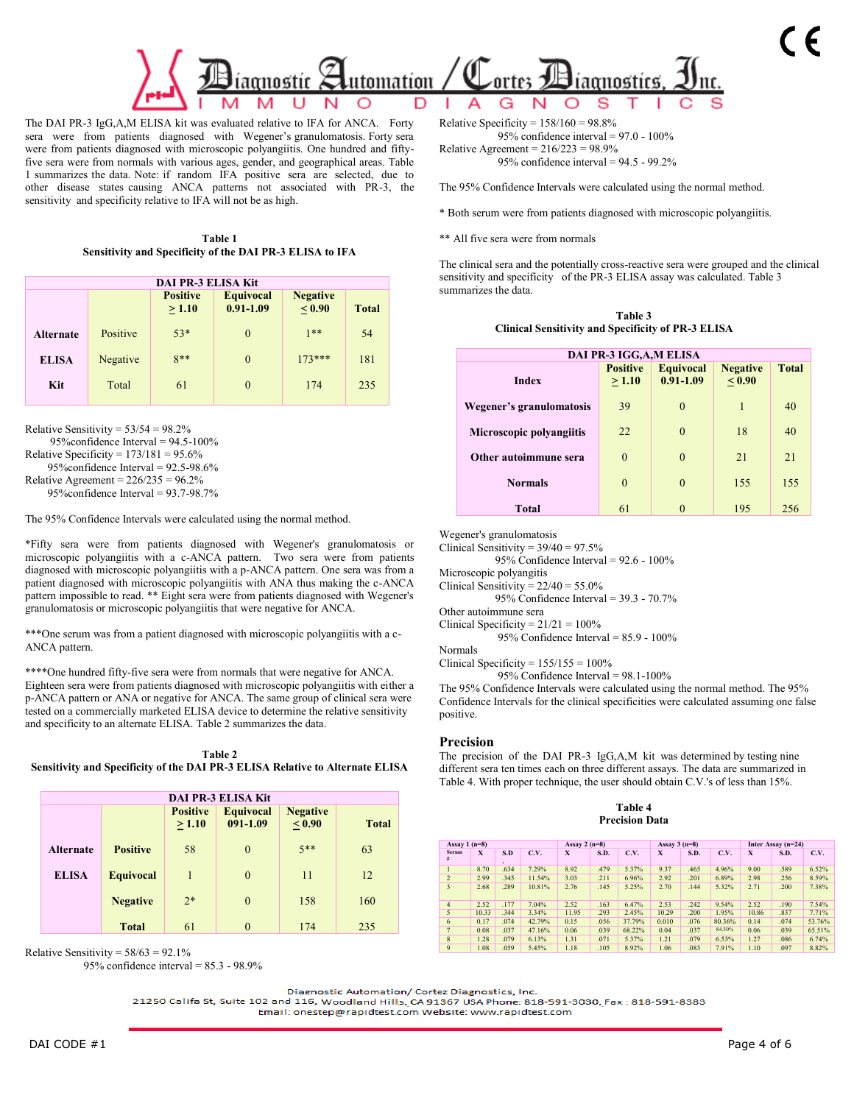

The DAI PR-3 IgG,A,M ELISA kit was evaluated relative to IFA for ANCA. Forty sera were from patients diagnosed with Wegener's granulomatosis. Forty sera were from patients diagnosed with microscopic polyangiitis. One hundred and fiftyfive sera were from normals with various ages, gender, and geographical areas. Table 1 summarizes the data. Note: if random IFA positive sera are selected, due to other disease states causing ANCA patterns not associated with PR-3, the sensitivity and specificity relative to IFA will not be as high.

**Table 1 Sensitivity and Specificity of the DAI PR-3 ELISA to IFA** 

| <b>DAI PR-3 ELISA Kit</b>                                                                                   |          |       |          |          |     |  |  |  |
|-------------------------------------------------------------------------------------------------------------|----------|-------|----------|----------|-----|--|--|--|
| <b>Positive</b><br><b>Equivocal</b><br><b>Negative</b><br>$0.91 - 1.09$<br>< 0.90<br>> 1.10<br><b>Total</b> |          |       |          |          |     |  |  |  |
| <b>Alternate</b>                                                                                            | Positive | $53*$ | $\Omega$ | $1**$    | 54  |  |  |  |
| <b>ELISA</b>                                                                                                | Negative | $8**$ | $\theta$ | $173***$ | 181 |  |  |  |
| Kit                                                                                                         | Total    | 61    | $\Omega$ | 174      | 235 |  |  |  |

Relative Sensitivity =  $53/54 = 98.2\%$ 

95%confidence Interval = 94.5-100%

Relative Specificity =  $173/181 = 95.6\%$ 

 95%confidence Interval = 92.5-98.6% Relative Agreement =  $226/235 = 96.2\%$ 

95%confidence Interval = 93.7-98.7%

The 95% Confidence Intervals were calculated using the normal method.

\*Fifty sera were from patients diagnosed with Wegener's granulomatosis or microscopic polyangiitis with a c-ANCA pattern. Two sera were from patients diagnosed with microscopic polyangiitis with a p-ANCA pattern. One sera was from a patient diagnosed with microscopic polyangiitis with ANA thus making the c-ANCA pattern impossible to read. \*\* Eight sera were from patients diagnosed with Wegener's granulomatosis or microscopic polyangiitis that were negative for ANCA.

\*\*\*One serum was from a patient diagnosed with microscopic polyangiitis with a c-ANCA pattern.

\*\*\*\*One hundred fifty-five sera were from normals that were negative for ANCA. Eighteen sera were from patients diagnosed with microscopic polyangiitis with either a p-ANCA pattern or ANA or negative for ANCA. The same group of clinical sera were tested on a commercially marketed ELISA device to determine the relative sensitivity and specificity to an alternate ELISA. Table 2 summarizes the data.

**Table 2 Sensitivity and Specificity of the DAI PR-3 ELISA Relative to Alternate ELISA**

| <b>DAI PR-3 ELISA Kit</b> |                  |                          |                              |                                  |              |  |  |  |  |  |
|---------------------------|------------------|--------------------------|------------------------------|----------------------------------|--------------|--|--|--|--|--|
|                           |                  | <b>Positive</b><br>>1.10 | <b>Equivocal</b><br>091-1.09 | <b>Negative</b><br>${}_{< 0.90}$ | <b>Total</b> |  |  |  |  |  |
| <b>Alternate</b>          | <b>Positive</b>  | 58                       | $\theta$                     | $5**$                            | 63           |  |  |  |  |  |
| <b>ELISA</b>              | <b>Equivocal</b> | 1                        | $\theta$                     | 11                               | 12           |  |  |  |  |  |
|                           | <b>Negative</b>  | $2*$                     | $\theta$                     | 158                              | 160          |  |  |  |  |  |
|                           | <b>Total</b>     | 61                       | $\theta$                     | 174                              | 235          |  |  |  |  |  |

Relative Sensitivity =  $58/63 = 92.1\%$ 

95% confidence interval = 85.3 - 98.9%

Relative Specificity =  $158/160 = 98.8\%$ 95% confidence interval = 97.0 - 100%

Relative Agreement =  $216/223 = 98.9%$ 95% confidence interval = 94.5 - 99.2%

The 95% Confidence Intervals were calculated using the normal method.

\* Both serum were from patients diagnosed with microscopic polyangiitis.

\*\* All five sera were from normals

The clinical sera and the potentially cross-reactive sera were grouped and the clinical sensitivity and specificity of the PR-3 ELISA assay was calculated. Table 3 summarizes the data.

|                                                           | Table 3 |  |
|-----------------------------------------------------------|---------|--|
| <b>Clinical Sensitivity and Specificity of PR-3 ELISA</b> |         |  |

| DAI PR-3 IGG, A, MELISA  |                           |                                   |                           |              |  |  |  |  |
|--------------------------|---------------------------|-----------------------------------|---------------------------|--------------|--|--|--|--|
| <b>Index</b>             | <b>Positive</b><br>> 1.10 | <b>Equivocal</b><br>$0.91 - 1.09$ | <b>Negative</b><br>< 0.90 | <b>Total</b> |  |  |  |  |
| Wegener's granulomatosis | 39                        | $\theta$                          | 1                         | 40           |  |  |  |  |
| Microscopic polyangiitis | 22                        | $\theta$                          | 18                        | 40           |  |  |  |  |
| Other autoimmune sera    | $\Omega$                  | $\theta$                          | 21                        | 21           |  |  |  |  |
| <b>Normals</b>           | $\theta$                  | $\theta$                          | 155                       | 155          |  |  |  |  |
| <b>Total</b>             | 61                        |                                   | 195                       | 256          |  |  |  |  |

Wegener's granulomatosis

Clinical Sensitivity =  $39/40 = 97.5%$ 

95% Confidence Interval = 92.6 - 100%

Microscopic polyangitis

Clinical Sensitivity =  $22/40 = 55.0\%$ 

95% Confidence Interval = 39.3 - 70.7%

Other autoimmune sera

Clinical Specificity =  $21/21 = 100\%$ 

95% Confidence Interval = 85.9 - 100%

Normals Clinical Specificity =  $155/155 = 100\%$ 

95% Confidence Interval = 98.1-100%

The 95% Confidence Intervals were calculated using the normal method. The 95% Confidence Intervals for the clinical specificities were calculated assuming one false positive.

#### **Precision**

The precision of the DAI PR-3 IgG,A,M kit was determined by testing nine different sera ten times each on three different assays. The data are summarized in Table 4. With proper technique, the user should obtain C.V.'s of less than 15%.

| Table 4               |  |
|-----------------------|--|
| <b>Precision Data</b> |  |

| Assay $1(n=8)$    |       |          |        |       | Assay 2 $(n=8)$ |        | Assay $3(n=8)$ |      |        | Inter Assay $(n=24)$ |             |        |
|-------------------|-------|----------|--------|-------|-----------------|--------|----------------|------|--------|----------------------|-------------|--------|
| <b>Serum</b><br># | X     | S.D<br>٠ | C.V.   | X     | S.D.            | C.V.   | X              | S.D. | C.V.   | X                    | <b>S.D.</b> | C.V.   |
|                   | 8.70  | .634     | 7.29%  | 8.92  | .479            | 5.37%  | 9.37           | .465 | 4.96%  | 9.00                 | .589        | 6.52%  |
| $\overline{2}$    | 2.99  | .345     | 11.54% | 3.03  | .211            | 6.96%  | 2.92           | .201 | 6.89%  | 2.98                 | .256        | 8.59%  |
| 3                 | 2.68  | .289     | 10.81% | 2.76  | .145            | 5.25%  | 2.70           | .144 | 5.32%  | 2.71                 | .200        | 7.38%  |
| $\overline{4}$    | 2.52  | .177     | 7.04%  | 2.52  | .163            | 6.47%  | 2.53           | .242 | 9.54%  | 2.52                 | .190        | 7.54%  |
| 5                 | 10.33 | 344      | 3.34%  | 11.95 | .293            | 2.45%  | 10.29          | .200 | 1.95%  | 10.86                | .837        | 7.71%  |
| 6                 | 0.17  | .074     | 42.79% | 0.15  | .056            | 37.79% | 0.010          | .076 | 80.36% | 0.14                 | .074        | 53.76% |
| $\overline{7}$    | 0.08  | .037     | 47.16% | 0.06  | .039            | 68.22% | 0.04           | .037 | 84.50% | 0.06                 | .039        | 65.51% |
| 8                 | 1.28  | .079     | 6.13%  | 1.31  | .071            | 5.37%  | 1.21           | .079 | 6.53%  | 1.27                 | .086        | 6.74%  |
| 9                 | 1.08  | .059     | 5.45%  | 1.18  | .105            | 8.92%  | 1.06           | .083 | 7.91%  | 1.10                 | .097        | 8.82%  |

Diagnostic Automation/ Cortez Diagnostics, Inc.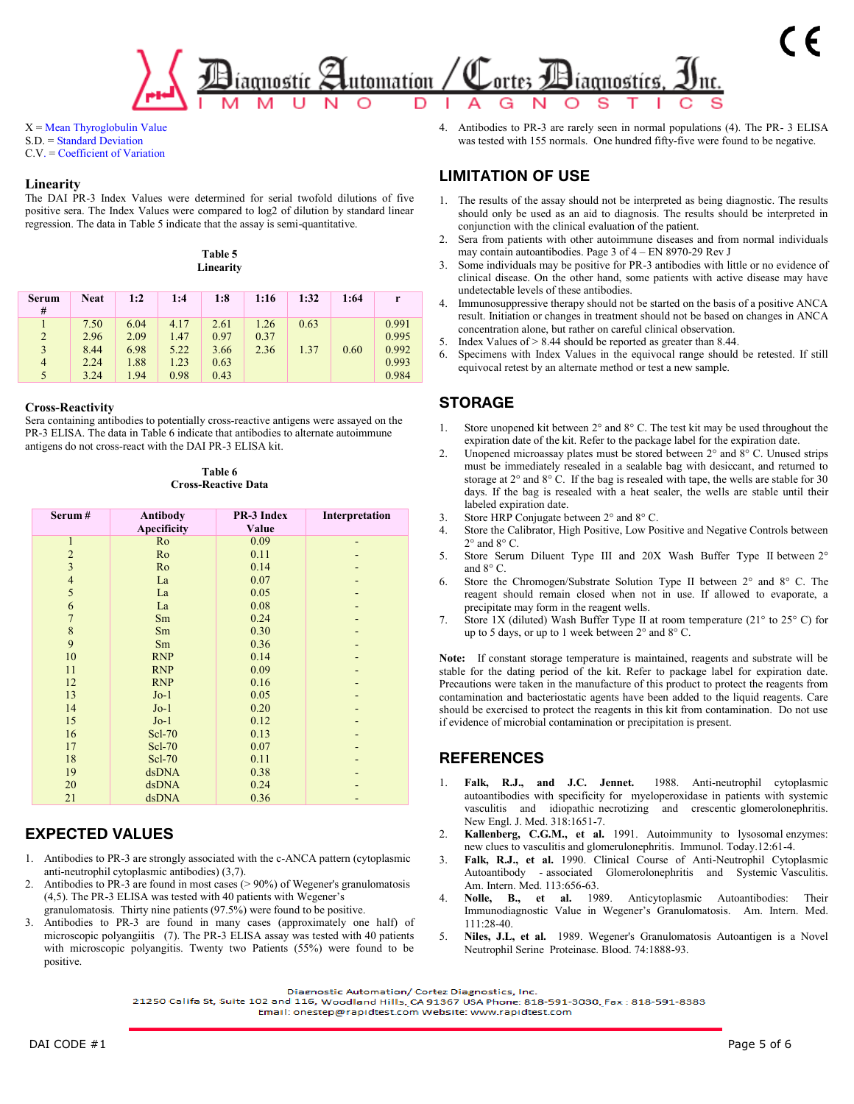### utomation / ortes aomostíc líaonostícs

 $X = Mean$  Thyroglobulin Value S.D. = Standard Deviation C.V. = Coefficient of Variation

#### **Linearity**

The DAI PR-3 Index Values were determined for serial twofold dilutions of five positive sera. The Index Values were compared to log2 of dilution by standard linear regression. The data in Table 5 indicate that the assay is semi-quantitative.

|  | Table 5 |           |
|--|---------|-----------|
|  |         | Linearity |

| <b>Serum</b><br># | <b>Neat</b> | 1:2  | 1:4  | 1:8  | 1:16 | 1:32 | 1:64 | r     |
|-------------------|-------------|------|------|------|------|------|------|-------|
|                   | 7.50        | 6.04 | 4.17 | 2.61 | 1.26 | 0.63 |      | 0.991 |
| $\overline{2}$    | 2.96        | 2.09 | 1.47 | 0.97 | 0.37 |      |      | 0.995 |
| 3                 | 8.44        | 6.98 | 5.22 | 3.66 | 2.36 | 1.37 | 0.60 | 0.992 |
| $\overline{4}$    | 2.24        | 1.88 | 1.23 | 0.63 |      |      |      | 0.993 |
| 5                 | 3.24        | 1.94 | 0.98 | 0.43 |      |      |      | 0.984 |

#### **Cross-Reactivity**

Sera containing antibodies to potentially cross-reactive antigens were assayed on the PR-3 ELISA. The data in Table 6 indicate that antibodies to alternate autoimmune antigens do not cross-react with the DAI PR-3 ELISA kit.

**Table 6 Cross-Reactive Data**

| Serum#                   | Antibody<br><b>Apecificity</b> | PR-3 Index<br>Value | Interpretation |
|--------------------------|--------------------------------|---------------------|----------------|
| $\mathbf{1}$             | Ro                             | 0.09                |                |
| $\overline{c}$           | Ro                             | 0.11                |                |
| $\overline{\mathbf{3}}$  | Ro                             | 0.14                |                |
| $\overline{\mathcal{L}}$ | La                             | 0.07                |                |
| 5                        | La                             | 0.05                |                |
| 6                        | La                             | 0.08                |                |
| $\overline{7}$           | Sm                             | 0.24                |                |
| 8                        | Sm                             | 0.30                |                |
| 9                        | Sm                             | 0.36                |                |
| 10                       | <b>RNP</b>                     | 0.14                |                |
| 11                       | <b>RNP</b>                     | 0.09                |                |
| 12                       | <b>RNP</b>                     | 0.16                |                |
| 13                       | $Jo-1$                         | 0.05                |                |
| 14                       | $Jo-1$                         | 0.20                |                |
| 15                       | $Jo-1$                         | 0.12                |                |
| 16                       | Scl-70                         | 0.13                |                |
| 17                       | Scl-70                         | 0.07                |                |
| 18                       | Scl-70                         | 0.11                |                |
| 19                       | dsDNA                          | 0.38                |                |
| 20                       | dsDNA                          | 0.24                |                |
| 21                       | dsDNA                          | 0.36                |                |

## **EXPECTED VALUES**

- 1. Antibodies to PR-3 are strongly associated with the c-ANCA pattern (cytoplasmic anti-neutrophil cytoplasmic antibodies) (3,7).
- 2. Antibodies to PR-3 are found in most cases  $(>90\%)$  of Wegener's granulomatosis (4,5). The PR-3 ELISA was tested with 40 patients with Wegener's granulomatosis. Thirty nine patients (97.5%) were found to be positive.
- 3. Antibodies to PR-3 are found in many cases (approximately one half) of microscopic polyangiitis (7). The PR-3 ELISA assay was tested with 40 patients with microscopic polyangitis. Twenty two Patients (55%) were found to be positive.

4. Antibodies to PR-3 are rarely seen in normal populations (4). The PR- 3 ELISA was tested with 155 normals. One hundred fifty-five were found to be negative.

### **LIMITATION OF USE**

- 1. The results of the assay should not be interpreted as being diagnostic. The results should only be used as an aid to diagnosis. The results should be interpreted in conjunction with the clinical evaluation of the patient.
- 2. Sera from patients with other autoimmune diseases and from normal individuals may contain autoantibodies. Page 3 of 4 – EN 8970-29 Rev J
- 3. Some individuals may be positive for PR-3 antibodies with little or no evidence of clinical disease. On the other hand, some patients with active disease may have undetectable levels of these antibodies.
- 4. Immunosuppressive therapy should not be started on the basis of a positive ANCA result. Initiation or changes in treatment should not be based on changes in ANCA concentration alone, but rather on careful clinical observation.
- 5. Index Values of > 8.44 should be reported as greater than 8.44.
- 6. Specimens with Index Values in the equivocal range should be retested. If still equivocal retest by an alternate method or test a new sample.

## **STORAGE**

- 1. Store unopened kit between 2° and 8° C. The test kit may be used throughout the expiration date of the kit. Refer to the package label for the expiration date.
- Unopened microassay plates must be stored between 2° and 8° C. Unused strips must be immediately resealed in a sealable bag with desiccant, and returned to storage at 2° and 8° C. If the bag is resealed with tape, the wells are stable for 30 days. If the bag is resealed with a heat sealer, the wells are stable until their labeled expiration date.
- 3. Store HRP Conjugate between 2° and 8° C.
- 4. Store the Calibrator, High Positive, Low Positive and Negative Controls between  $2^\circ$  and  $8^\circ$  C.
- 5. Store Serum Diluent Type III and 20X Wash Buffer Type II between 2° and 8° C.
- 6. Store the Chromogen/Substrate Solution Type II between 2° and 8° C. The reagent should remain closed when not in use. If allowed to evaporate, a precipitate may form in the reagent wells.
- 7. Store 1X (diluted) Wash Buffer Type II at room temperature (21° to 25° C) for up to 5 days, or up to 1 week between 2° and 8° C.

**Note:** If constant storage temperature is maintained, reagents and substrate will be stable for the dating period of the kit. Refer to package label for expiration date. Precautions were taken in the manufacture of this product to protect the reagents from contamination and bacteriostatic agents have been added to the liquid reagents. Care should be exercised to protect the reagents in this kit from contamination. Do not use if evidence of microbial contamination or precipitation is present.

## **REFERENCES**

- 1. **Falk, R.J., and J.C. Jennet.** 1988. Anti-neutrophil cytoplasmic autoantibodies with specificity for myeloperoxidase in patients with systemic vasculitis and idiopathic necrotizing and crescentic glomerolonephritis. New Engl. J. Med. 318:1651-7.
- 2. **Kallenberg, C.G.M., et al.** 1991. Autoimmunity to lysosomal enzymes: new clues to vasculitis and glomerulonephritis. Immunol. Today.12:61-4.
- 3. **Falk, R.J., et al.** 1990. Clinical Course of Anti-Neutrophil Cytoplasmic Autoantibody - associated Glomerolonephritis and Systemic Vasculitis. Am. Intern. Med. 113:656-63.
- 4. **Nolle, B., et al.** 1989. Anticytoplasmic Autoantibodies: Their Immunodiagnostic Value in Wegener's Granulomatosis. Am. Intern. Med. 111:28-40.
- 5. **Niles, J.L, et al.** 1989. Wegener's Granulomatosis Autoantigen is a Novel Neutrophil Serine Proteinase. Blood. 74:1888-93.

Diagnostic Automation/ Cortez Diagnostics, Inc.